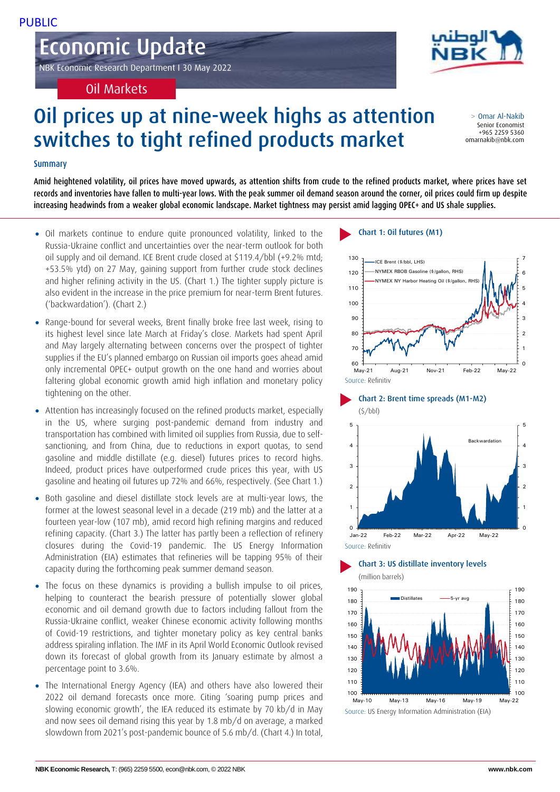# Economic Update

NBK Economic Research Department I 30 May 2022

Oil Markets

# Oil prices up at nine-week highs as attention switches to tight refined products market

## Summary

Amid heightened volatility, oil prices have moved upwards, as attention shifts from crude to the refined products market, where prices have set records and inventories have fallen to multi-year lows. With the peak summer oil demand season around the corner, oil prices could firm up despite increasing headwinds from a weaker global economic landscape. Market tightness may persist amid lagging OPEC+ and US shale supplies.

- Oil markets continue to endure quite pronounced volatility, linked to the Russia-Ukraine conflict and uncertainties over the near-term outlook for both oil supply and oil demand. ICE Brent crude closed at \$119.4/bbl (+9.2% mtd; +53.5% ytd) on 27 May, gaining support from further crude stock declines and higher refining activity in the US. (Chart 1.) The tighter supply picture is also evident in the increase in the price premium for near-term Brent futures. ('backwardation'). (Chart 2.)
- Range-bound for several weeks, Brent finally broke free last week, rising to its highest level since late March at Friday's close. Markets had spent April and May Jargely alternating between concerns over the prospect of tighter supplies if the EU's planned embargo on Russian oil imports goes ahead amid only incremental OPEC+ output growth on the one hand and worries about faltering global economic growth amid high inflation and monetary policy tightening on the other.
- Attention has increasingly focused on the refined products market, especially in the US, where surging post-pandemic demand from industry and transportation has combined with limited oil supplies from Russia, due to selfsanctioning, and from China, due to reductions in export quotas, to send gasoline and middle distillate (e.g. diesel) futures prices to record highs. Indeed, product prices have outperformed crude prices this year, with US gasoline and heating oil futures up 72% and 66%, respectively. (See Chart 1.)
- Both gasoline and diesel distillate stock levels are at multi-year lows, the former at the lowest seasonal level in a decade (219 mb) and the latter at a fourteen year-low (107 mb), amid record high refining margins and reduced refining capacity. (Chart 3.) The latter has partly been a reflection of refinery closures during the Covid-19 pandemic. The US Energy Information Administration (EIA) estimates that refineries will be tapping 95% of their capacity during the forthcoming peak summer demand season.
- The focus on these dynamics is providing a bullish impulse to oil prices, helping to counteract the bearish pressure of potentially slower global economic and oil demand growth due to factors including fallout from the Russia-Ukraine conflict, weaker Chinese economic activity following months of Covid-19 restrictions, and tighter monetary policy as key central banks address spiraling inflation. The IMF in its April World Economic Outlook revised down its forecast of global growth from its January estimate by almost a percentage point to 3.6%.
- The International Energy Agency (IEA) and others have also lowered their 2022 oil demand forecasts once more. Citing 'soaring pump prices and slowing economic growth', the IEA reduced its estimate by 70 kb/d in May and now sees oil demand rising this year by 1.8 mb/d on average, a marked slowdown from 2021's post-pandemic bounce of 5.6 mb/d. (Chart 4.) In total,

## Chart 1: Oil futures (M1)





# Chart 3: US distillate inventory levels





> Omar Al-Nakib Senior Economist +965 2259 5360 omarnakib@nbk.com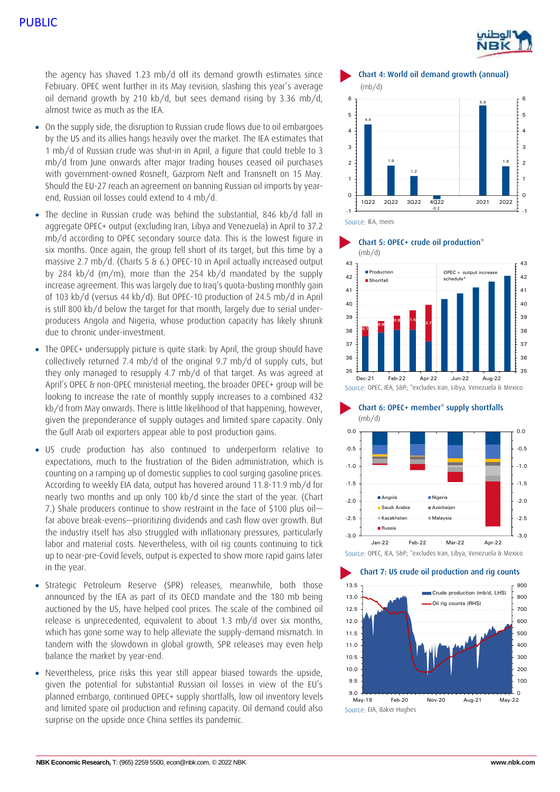# PUBLIC



the agency has shaved 1.23 mb/d off its demand growth estimates since February. OPEC went further in its May revision, slashing this year's average oil demand growth by 210 kb/d, but sees demand rising by 3.36 mb/d, almost twice as much as the IEA.

- On the supply side, the disruption to Russian crude flows due to oil embargoes by the US and its allies hangs heavily over the market. The IEA estimates that 1 mb/d of Russian crude was shut-in in April, a figure that could treble to 3 mb/d from June onwards after major trading houses ceased oil purchases with government-owned Rosneft, Gazprom Neft and Transneft on 15 May. Should the EU-27 reach an agreement on banning Russian oil imports by yearend, Russian oil losses could extend to 4 mb/d.
- The decline in Russian crude was behind the substantial, 846 kb/d fall in aggregate OPEC+ output (excluding Iran, Libya and Venezuela) in April to 37.2 mb/d according to OPEC secondary source data. This is the lowest figure in six months. Once again, the group fell short of its target, but this time by a massive 2.7 mb/d. (Charts 5 & 6.) OPEC-10 in April actually increased output by 284 kb/d (m/m), more than the 254 kb/d mandated by the supply increase agreement. This was largely due to Iraq's quota-busting monthly gain of 103 kb/d (versus 44 kb/d). But OPEC-10 production of 24.5 mb/d in April is still 800 kb/d below the target for that month, largely due to serial underproducers Angola and Nigeria, whose production capacity has likely shrunk due to chronic under-investment.
- The OPEC+ undersupply picture is quite stark: by April, the group should have collectively returned 7.4 mb/d of the original 9.7 mb/d of supply cuts, but they only managed to resupply 4.7 mb/d of that target. As was agreed at April's OPEC & non-OPEC ministerial meeting, the broader OPEC+ group will be looking to increase the rate of monthly supply increases to a combined 432 kb/d from May onwards. There is little likelihood of that happening, however, given the preponderance of supply outages and limited spare capacity. Only the Gulf Arab oil exporters appear able to post production gains.
- US crude production has also continued to underperform relative to expectations, much to the frustration of the Biden administration, which is counting on a ramping up of domestic supplies to cool surging gasoline prices. According to weekly EIA data, output has hovered around 11.8-11.9 mb/d for nearly two months and up only 100 kb/d since the start of the year. (Chart 7.) Shale producers continue to show restraint in the face of \$100 plus oil far above break-evens—prioritizing dividends and cash flow over growth. But the industry itself has also struggled with inflationary pressures, particularly labor and material costs. Nevertheless, with oil rig counts continuing to tick up to near-pre-Covid levels, output is expected to show more rapid gains later in the year.
- Strategic Petroleum Reserve (SPR) releases, meanwhile, both those announced by the IEA as part of its OECD mandate and the 180 mb being auctioned by the US, have helped cool prices. The scale of the combined oil release is unprecedented, equivalent to about 1.3 mb/d over six months, which has gone some way to help alleviate the supply-demand mismatch. In tandem with the slowdown in global growth, SPR releases may even help balance the market by year-end.
- Nevertheless, price risks this year still appear biased towards the upside, given the potential for substantial Russian oil losses in view of the EU's planned embargo, continued OPEC+ supply shortfalls, low oil inventory levels and limited spare oil production and refining capacity. Oil demand could also surprise on the upside once China settles its pandemic.

Chart 4: World oil demand growth (annual) (mb/d) 4.4 1.9 1.2 -0.2 5.6 1.8 -1 0 1  $\overline{2}$ 3  $\overline{A}$ 5 6 -1  $\circ$ 1 2 3 4 5 6 1Q22 2Q22 3Q22 4Q22 2021 2022

Source: IEA, mees





Chart 6: OPEC+ member\* supply shortfalls (mb/d)



Source: OPEC, IEA, S&P; \*excludes Iran, Libya, Venezuela & Mexico

#### Chart 7: US crude oil production and rig counts